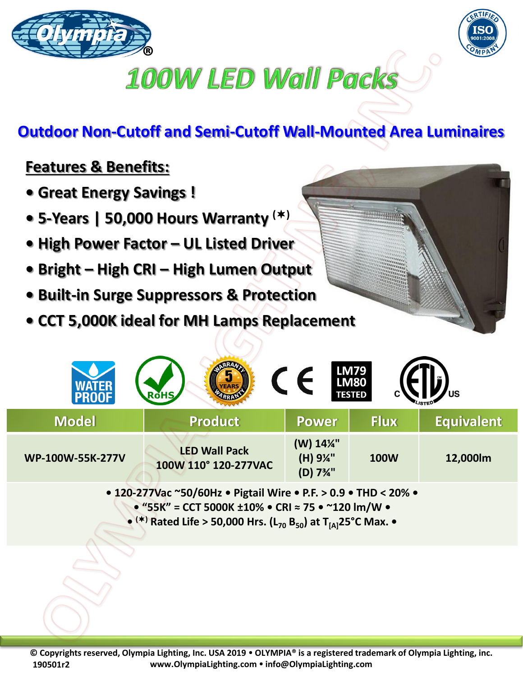



## **100W LED Wall Packs**

## **Outdoor Non-Cutoff and Semi-Cutoff Wall-Mounted Area Luminaires**

## **Features & Benefits:**

- **Great Energy Savings !**
- **5-Years | 50,000 Hours Warranty ()**
- **High Power Factor – UL Listed Driver**
- **Bright – High CRI – High Lumen Output**
- **Built-in Surge Suppressors & Protection**
- **CCT 5,000K ideal for MH Lamps Replacement**

| <b>LM79<br/>LM80</b><br>US<br><b>RoHS</b><br><b>TESTED</b> |                                              |                                                            |             |                   |
|------------------------------------------------------------|----------------------------------------------|------------------------------------------------------------|-------------|-------------------|
| <b>Model</b>                                               | <b>Product</b>                               | <b>Power</b>                                               | Flux        | <b>Equivalent</b> |
| WP-100W-55K-277V                                           | <b>LED Wall Pack</b><br>100W 110° 120-277VAC | (W) 14%"<br>(H) 9%"<br>(D) 7 <sup>3</sup> / <sub>4</sub> " | <b>100W</b> | 12,000lm          |

**• 120-277Vac ~50/60Hz • Pigtail Wire • P.F. > 0.9 • THD < 20% • • "55K" = CCT 5000K ±10% • CRI ≈ 75 • ~120 lm/W • • () Rated Life > 50,000 Hrs. (L<sup>70</sup> B50) at T[A]25°C Max. •**

**© Copyrights reserved, Olympia Lighting, Inc. USA 2019 OLYMPIA® is a registered trademark of Olympia Lighting, inc. www.OlympiaLighting.com info@OlympiaLighting.com 190501r2**